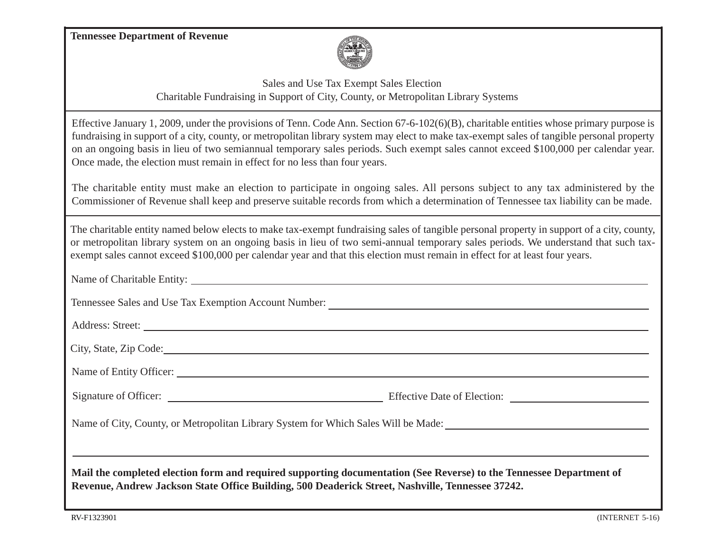**Tennessee Department of Revenue**



 Sales and Use Tax Exempt Sales Election Charitable Fundraising in Support of City, County, or Metropolitan Library Systems

Effective January 1, 2009, under the provisions of Tenn. Code Ann. Section 67-6-102(6)(B), charitable entities whose primary purpose is fundraising in support of a city, county, or metropolitan library system may elect to make tax-exempt sales of tangible personal property on an ongoing basis in lieu of two semiannual temporary sales periods. Such exempt sales cannot exceed \$100,000 per calendar year. Once made, the election must remain in effect for no less than four years.

The charitable entity must make an election to participate in ongoing sales. All persons subject to any tax administered by the Commissioner of Revenue shall keep and preserve suitable records from which a determination of Tennessee tax liability can be made.

The charitable entity named below elects to make tax-exempt fundraising sales of tangible personal property in support of a city, county, or metropolitan library system on an ongoing basis in lieu of two semi-annual temporary sales periods. We understand that such taxexempt sales cannot exceed \$100,000 per calendar year and that this election must remain in effect for at least four years.

Name of Charitable Entity:

Tennessee Sales and Use Tax Exemption Account Number:

Address: Street: 2007 - 2008 - 2008 - 2009 - 2009 - 2009 - 2009 - 2009 - 2009 - 2009 - 2009 - 2009 - 2009 - 2009 - 2009 - 2009 - 2009 - 2009 - 2009 - 2009 - 2009 - 2009 - 2009 - 2009 - 2009 - 2009 - 2009 - 2009 - 2009 - 20

City, State, Zip Code:

Name of Entity Officer:

Effective Date of Election: Signature of Officer:

Name of City, County, or Metropolitan Library System for Which Sales Will be Made:

**Mail the completed election form and required supporting documentation (See Reverse) to the Tennessee Department of Revenue, Andrew Jackson State Office Building, 500 Deaderick Street, Nashville, Tennessee 37242.**